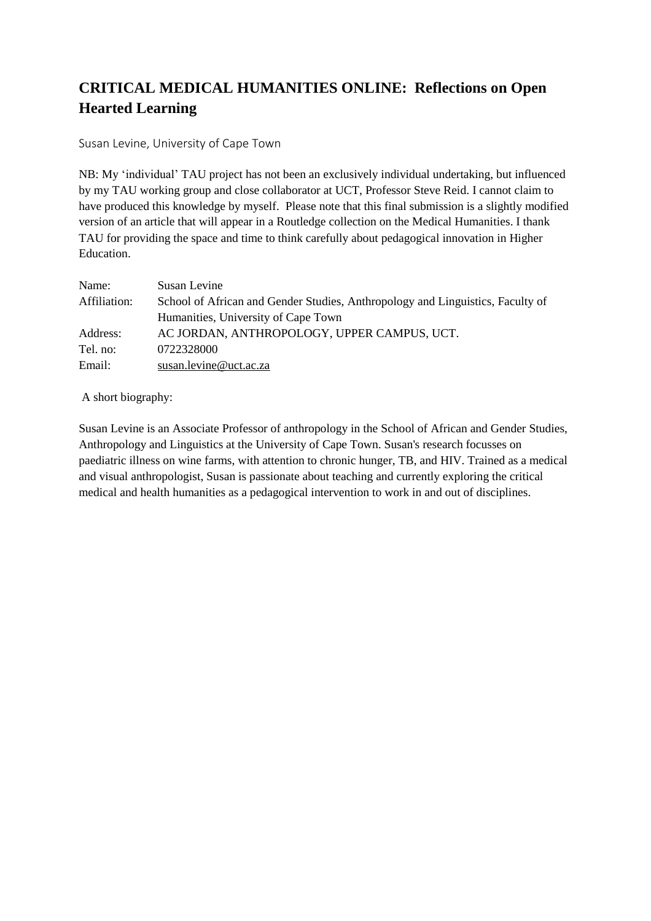# **CRITICAL MEDICAL HUMANITIES ONLINE: Reflections on Open Hearted Learning**

Susan Levine, University of Cape Town

NB: My 'individual' TAU project has not been an exclusively individual undertaking, but influenced by my TAU working group and close collaborator at UCT, Professor Steve Reid. I cannot claim to have produced this knowledge by myself. Please note that this final submission is a slightly modified version of an article that will appear in a Routledge collection on the Medical Humanities. I thank TAU for providing the space and time to think carefully about pedagogical innovation in Higher Education.

| Name:        | Susan Levine                                                                   |
|--------------|--------------------------------------------------------------------------------|
| Affiliation: | School of African and Gender Studies, Anthropology and Linguistics, Faculty of |
|              | Humanities, University of Cape Town                                            |
| Address:     | AC JORDAN, ANTHROPOLOGY, UPPER CAMPUS, UCT.                                    |
| Tel. no:     | 0722328000                                                                     |
| Email:       | susan.levine@uct.ac.za                                                         |

A short biography:

Susan Levine is an Associate Professor of anthropology in the School of African and Gender Studies, Anthropology and Linguistics at the University of Cape Town. Susan's research focusses on paediatric illness on wine farms, with attention to chronic hunger, TB, and HIV. Trained as a medical and visual anthropologist, Susan is passionate about teaching and currently exploring the critical medical and health humanities as a pedagogical intervention to work in and out of disciplines.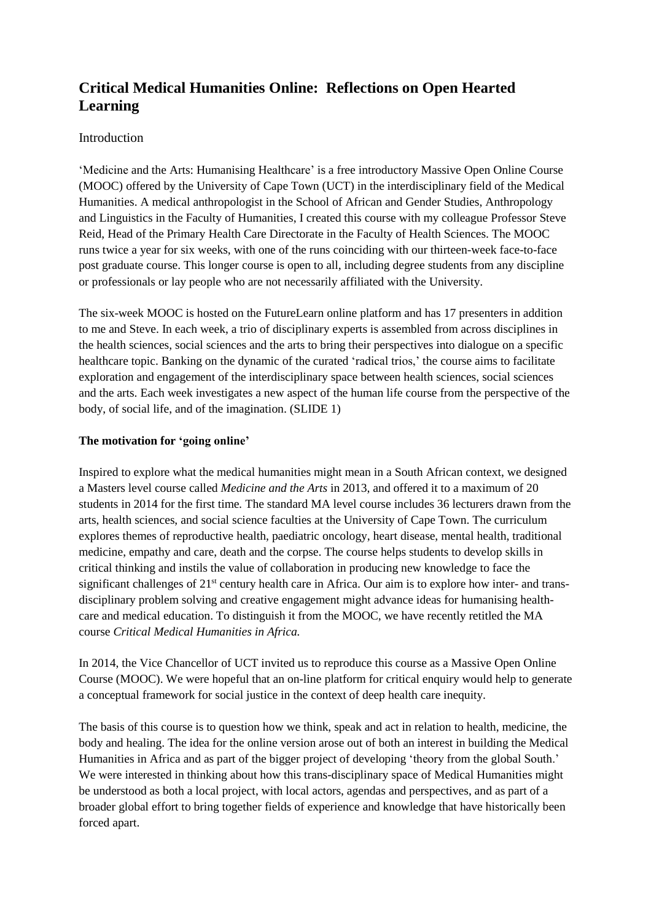# **Critical Medical Humanities Online: Reflections on Open Hearted Learning**

# Introduction

'Medicine and the Arts: Humanising Healthcare' is a free introductory Massive Open Online Course (MOOC) offered by the University of Cape Town (UCT) in the interdisciplinary field of the Medical Humanities. A medical anthropologist in the School of African and Gender Studies, Anthropology and Linguistics in the Faculty of Humanities, I created this course with my colleague Professor Steve Reid, Head of the Primary Health Care Directorate in the Faculty of Health Sciences. The MOOC runs twice a year for six weeks, with one of the runs coinciding with our thirteen-week face-to-face post graduate course. This longer course is open to all, including degree students from any discipline or professionals or lay people who are not necessarily affiliated with the University.

The six-week MOOC is hosted on the FutureLearn online platform and has 17 presenters in addition to me and Steve. In each week, a trio of disciplinary experts is assembled from across disciplines in the health sciences, social sciences and the arts to bring their perspectives into dialogue on a specific healthcare topic. Banking on the dynamic of the curated 'radical trios,' the course aims to facilitate exploration and engagement of the interdisciplinary space between health sciences, social sciences and the arts. Each week investigates a new aspect of the human life course from the perspective of the body, of social life, and of the imagination. (SLIDE 1)

## **The motivation for 'going online'**

Inspired to explore what the medical humanities might mean in a South African context, we designed a Masters level course called *Medicine and the Arts* in 2013, and offered it to a maximum of 20 students in 2014 for the first time*.* The standard MA level course includes 36 lecturers drawn from the arts, health sciences, and social science faculties at the University of Cape Town. The curriculum explores themes of reproductive health, paediatric oncology, heart disease, mental health, traditional medicine, empathy and care, death and the corpse. The course helps students to develop skills in critical thinking and instils the value of collaboration in producing new knowledge to face the significant challenges of  $21<sup>st</sup>$  century health care in Africa. Our aim is to explore how inter- and transdisciplinary problem solving and creative engagement might advance ideas for humanising healthcare and medical education. To distinguish it from the MOOC, we have recently retitled the MA course *Critical Medical Humanities in Africa.*

In 2014, the Vice Chancellor of UCT invited us to reproduce this course as a Massive Open Online Course (MOOC). We were hopeful that an on-line platform for critical enquiry would help to generate a conceptual framework for social justice in the context of deep health care inequity.

The basis of this course is to question how we think, speak and act in relation to health, medicine, the body and healing. The idea for the online version arose out of both an interest in building the Medical Humanities in Africa and as part of the bigger project of developing 'theory from the global South.' We were interested in thinking about how this trans-disciplinary space of Medical Humanities might be understood as both a local project, with local actors, agendas and perspectives, and as part of a broader global effort to bring together fields of experience and knowledge that have historically been forced apart.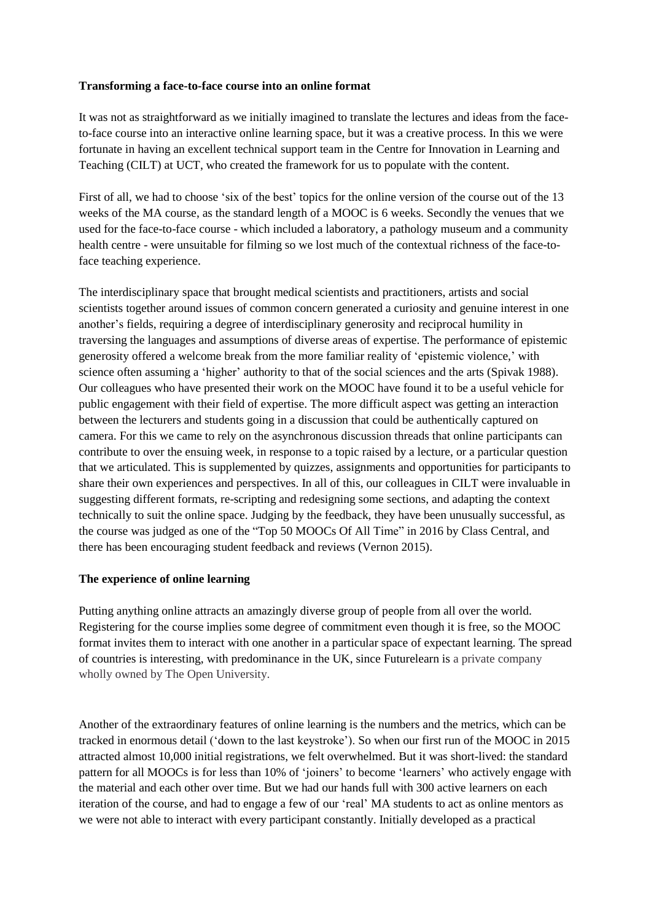#### **Transforming a face-to-face course into an online format**

It was not as straightforward as we initially imagined to translate the lectures and ideas from the faceto-face course into an interactive online learning space, but it was a creative process. In this we were fortunate in having an excellent technical support team in the Centre for Innovation in Learning and Teaching (CILT) at UCT, who created the framework for us to populate with the content.

First of all, we had to choose 'six of the best' topics for the online version of the course out of the 13 weeks of the MA course, as the standard length of a MOOC is 6 weeks. Secondly the venues that we used for the face-to-face course - which included a laboratory, a pathology museum and a community health centre - were unsuitable for filming so we lost much of the contextual richness of the face-toface teaching experience.

The interdisciplinary space that brought medical scientists and practitioners, artists and social scientists together around issues of common concern generated a curiosity and genuine interest in one another's fields, requiring a degree of interdisciplinary generosity and reciprocal humility in traversing the languages and assumptions of diverse areas of expertise. The performance of epistemic generosity offered a welcome break from the more familiar reality of 'epistemic violence,' with science often assuming a 'higher' authority to that of the social sciences and the arts (Spivak 1988). Our colleagues who have presented their work on the MOOC have found it to be a useful vehicle for public engagement with their field of expertise. The more difficult aspect was getting an interaction between the lecturers and students going in a discussion that could be authentically captured on camera. For this we came to rely on the asynchronous discussion threads that online participants can contribute to over the ensuing week, in response to a topic raised by a lecture, or a particular question that we articulated. This is supplemented by quizzes, assignments and opportunities for participants to share their own experiences and perspectives. In all of this, our colleagues in CILT were invaluable in suggesting different formats, re-scripting and redesigning some sections, and adapting the context technically to suit the online space. Judging by the feedback, they have been unusually successful, as the course was judged as one of the "Top 50 MOOCs Of All Time" in 2016 by Class Central, and there has been encouraging student feedback and reviews (Vernon 2015).

## **The experience of online learning**

Putting anything online attracts an amazingly diverse group of people from all over the world. Registering for the course implies some degree of commitment even though it is free, so the MOOC format invites them to interact with one another in a particular space of expectant learning. The spread of countries is interesting, with predominance in the UK, since Futurelearn is a private company wholly owned by The Open University.

Another of the extraordinary features of online learning is the numbers and the metrics, which can be tracked in enormous detail ('down to the last keystroke'). So when our first run of the MOOC in 2015 attracted almost 10,000 initial registrations, we felt overwhelmed. But it was short-lived: the standard pattern for all MOOCs is for less than 10% of 'joiners' to become 'learners' who actively engage with the material and each other over time. But we had our hands full with 300 active learners on each iteration of the course, and had to engage a few of our 'real' MA students to act as online mentors as we were not able to interact with every participant constantly. Initially developed as a practical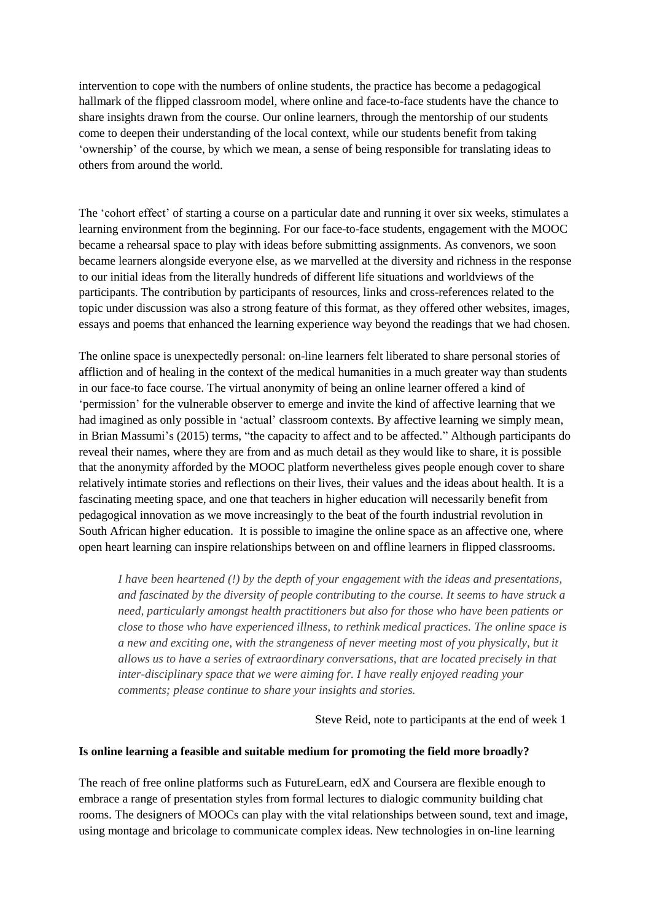intervention to cope with the numbers of online students, the practice has become a pedagogical hallmark of the flipped classroom model, where online and face-to-face students have the chance to share insights drawn from the course. Our online learners, through the mentorship of our students come to deepen their understanding of the local context, while our students benefit from taking 'ownership' of the course, by which we mean, a sense of being responsible for translating ideas to others from around the world.

The 'cohort effect' of starting a course on a particular date and running it over six weeks, stimulates a learning environment from the beginning. For our face-to-face students, engagement with the MOOC became a rehearsal space to play with ideas before submitting assignments. As convenors, we soon became learners alongside everyone else, as we marvelled at the diversity and richness in the response to our initial ideas from the literally hundreds of different life situations and worldviews of the participants. The contribution by participants of resources, links and cross-references related to the topic under discussion was also a strong feature of this format, as they offered other websites, images, essays and poems that enhanced the learning experience way beyond the readings that we had chosen.

The online space is unexpectedly personal: on-line learners felt liberated to share personal stories of affliction and of healing in the context of the medical humanities in a much greater way than students in our face-to face course. The virtual anonymity of being an online learner offered a kind of 'permission' for the vulnerable observer to emerge and invite the kind of affective learning that we had imagined as only possible in 'actual' classroom contexts. By affective learning we simply mean, in Brian Massumi's (2015) terms, "the capacity to affect and to be affected." Although participants do reveal their names, where they are from and as much detail as they would like to share, it is possible that the anonymity afforded by the MOOC platform nevertheless gives people enough cover to share relatively intimate stories and reflections on their lives, their values and the ideas about health. It is a fascinating meeting space, and one that teachers in higher education will necessarily benefit from pedagogical innovation as we move increasingly to the beat of the fourth industrial revolution in South African higher education. It is possible to imagine the online space as an affective one, where open heart learning can inspire relationships between on and offline learners in flipped classrooms.

*I have been heartened (!) by the depth of your engagement with the ideas and presentations, and fascinated by the diversity of people contributing to the course. It seems to have struck a need, particularly amongst health practitioners but also for those who have been patients or close to those who have experienced illness, to rethink medical practices. The online space is a new and exciting one, with the strangeness of never meeting most of you physically, but it allows us to have a series of extraordinary conversations, that are located precisely in that inter-disciplinary space that we were aiming for. I have really enjoyed reading your comments; please continue to share your insights and stories.*

Steve Reid, note to participants at the end of week 1

#### **Is online learning a feasible and suitable medium for promoting the field more broadly?**

The reach of free online platforms such as FutureLearn, edX and Coursera are flexible enough to embrace a range of presentation styles from formal lectures to dialogic community building chat rooms. The designers of MOOCs can play with the vital relationships between sound, text and image, using montage and bricolage to communicate complex ideas. New technologies in on-line learning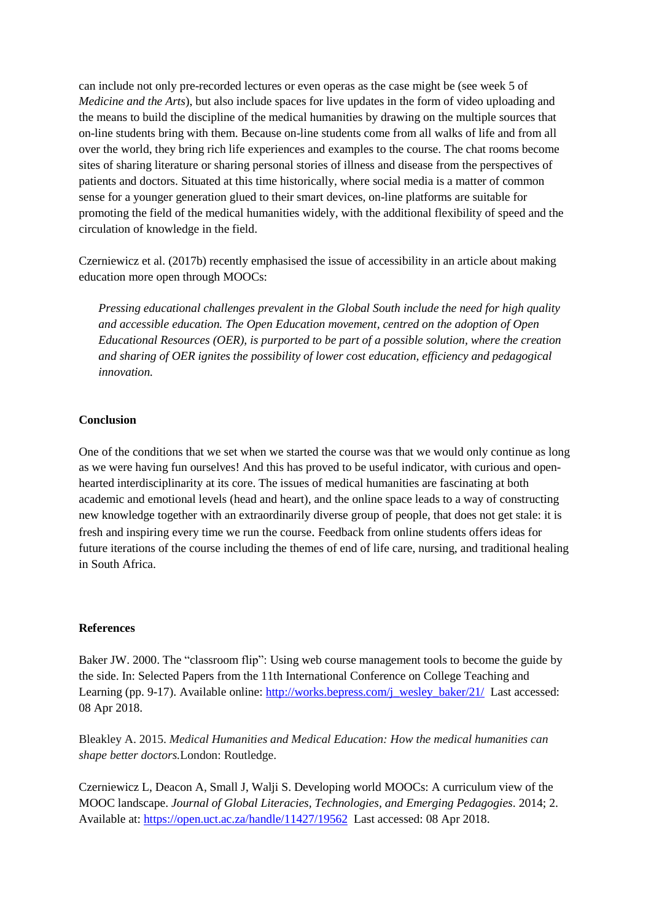can include not only pre-recorded lectures or even operas as the case might be (see week 5 of *Medicine and the Arts*), but also include spaces for live updates in the form of video uploading and the means to build the discipline of the medical humanities by drawing on the multiple sources that on-line students bring with them. Because on-line students come from all walks of life and from all over the world, they bring rich life experiences and examples to the course. The chat rooms become sites of sharing literature or sharing personal stories of illness and disease from the perspectives of patients and doctors. Situated at this time historically, where social media is a matter of common sense for a younger generation glued to their smart devices, on-line platforms are suitable for promoting the field of the medical humanities widely, with the additional flexibility of speed and the circulation of knowledge in the field.

Czerniewicz et al. (2017b) recently emphasised the issue of accessibility in an article about making education more open through MOOCs:

*Pressing educational challenges prevalent in the Global South include the need for high quality and accessible education. The Open Education movement, centred on the adoption of Open Educational Resources (OER), is purported to be part of a possible solution, where the creation and sharing of OER ignites the possibility of lower cost education, efficiency and pedagogical innovation.*

#### **Conclusion**

One of the conditions that we set when we started the course was that we would only continue as long as we were having fun ourselves! And this has proved to be useful indicator, with curious and openhearted interdisciplinarity at its core. The issues of medical humanities are fascinating at both academic and emotional levels (head and heart), and the online space leads to a way of constructing new knowledge together with an extraordinarily diverse group of people, that does not get stale: it is fresh and inspiring every time we run the course. Feedback from online students offers ideas for future iterations of the course including the themes of end of life care, nursing, and traditional healing in South Africa.

#### **References**

Baker JW. 2000. The "classroom flip": Using web course management tools to become the guide by the side. In: Selected Papers from the 11th International Conference on College Teaching and Learning (pp. 9-17). Available online: [http://works.bepress.com/j\\_wesley\\_baker/21/](http://works.bepress.com/j_wesley_baker/21/) Last accessed: 08 Apr 2018.

Bleakley A. 2015. *Medical Humanities and Medical Education: How the medical humanities can shape better doctors.*London: Routledge.

Czerniewicz L, Deacon A, Small J, Walji S. Developing world MOOCs: A curriculum view of the MOOC landscape. *Journal of Global Literacies, Technologies, and Emerging Pedagogies*. 2014; 2. Available at: <https://open.uct.ac.za/handle/11427/19562> Last accessed: 08 Apr 2018.